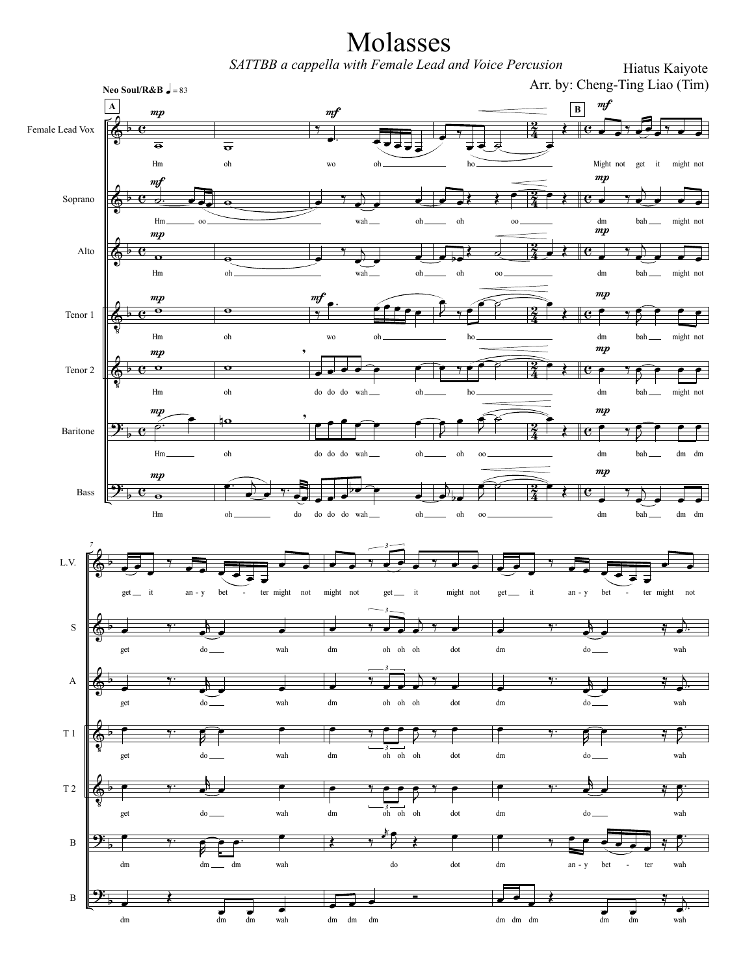Molasses

SATTBB a cappella with Female Lead and Voice Percusion **Filliam** Hiatus Kaiyote

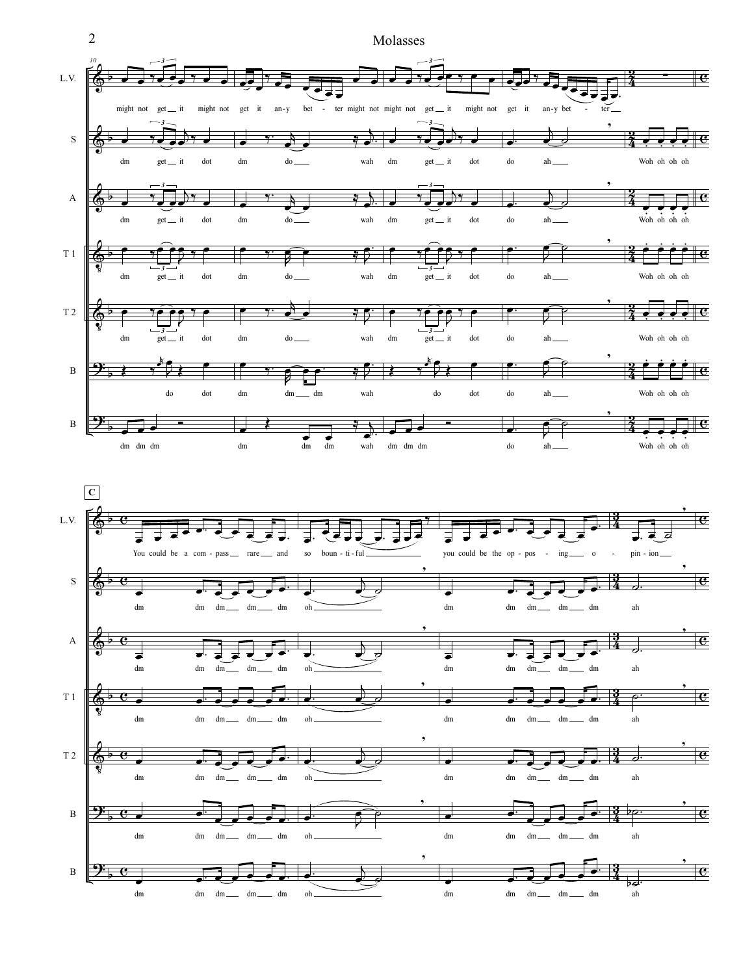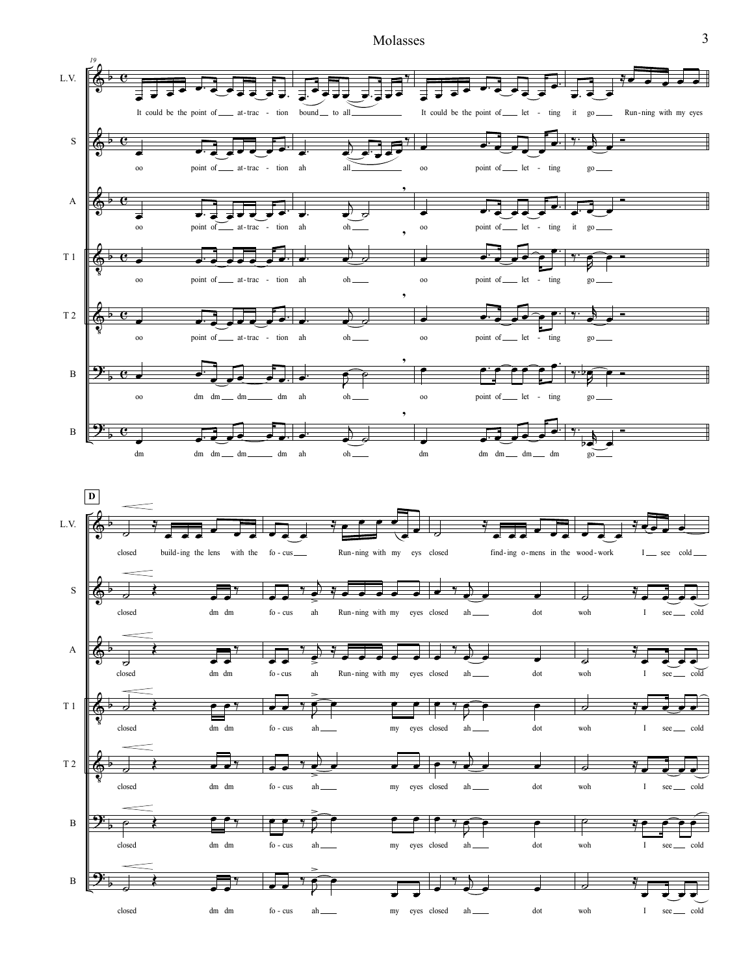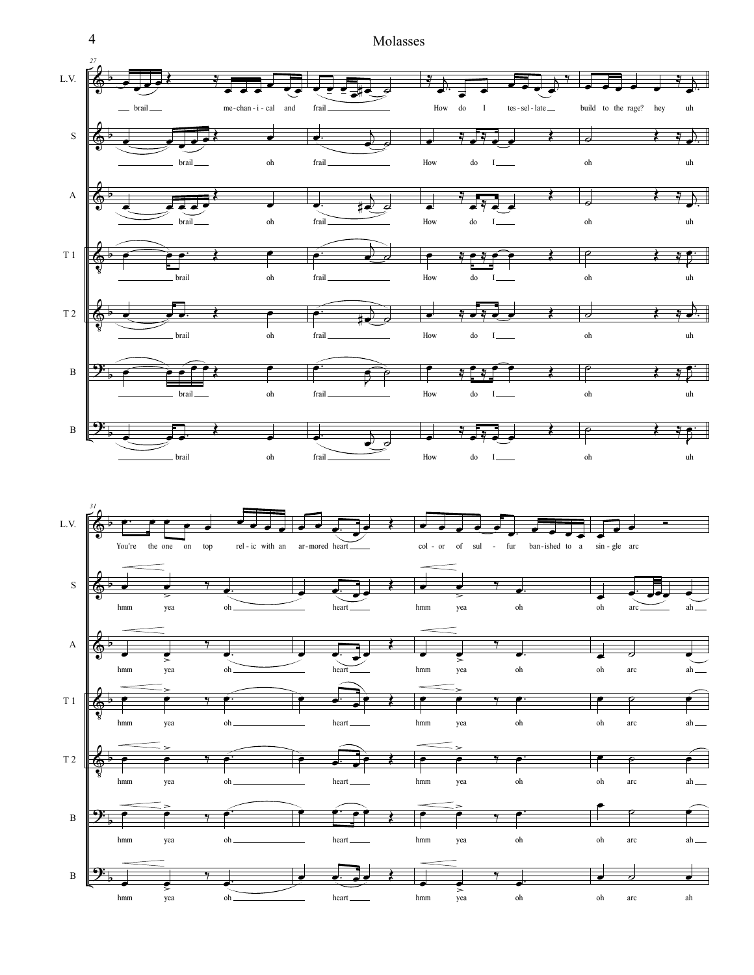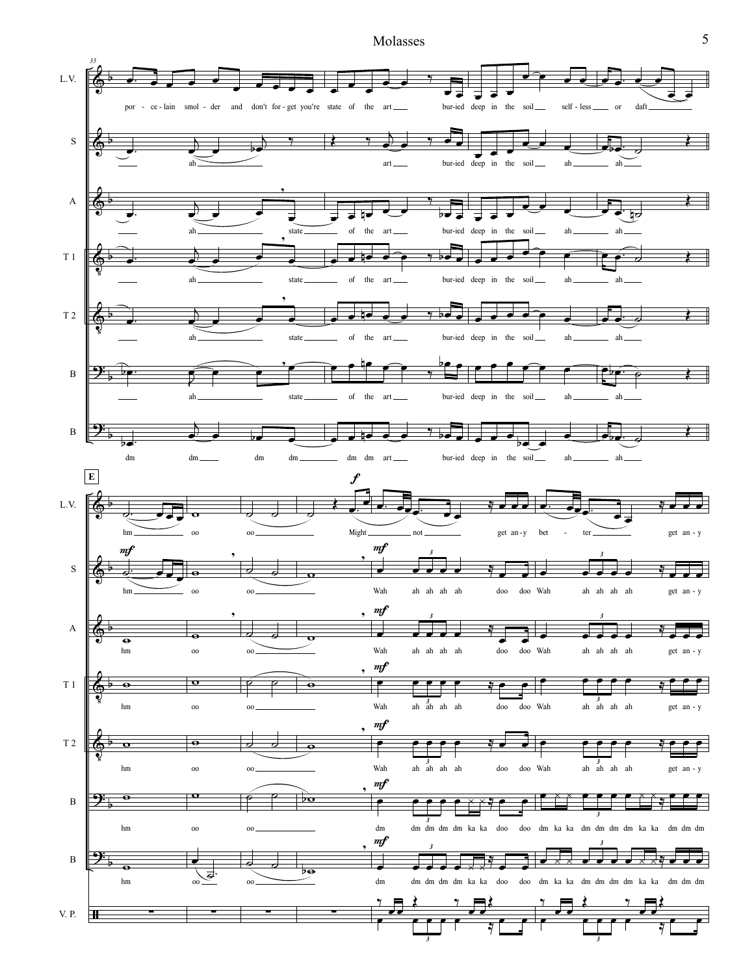Molasses 5

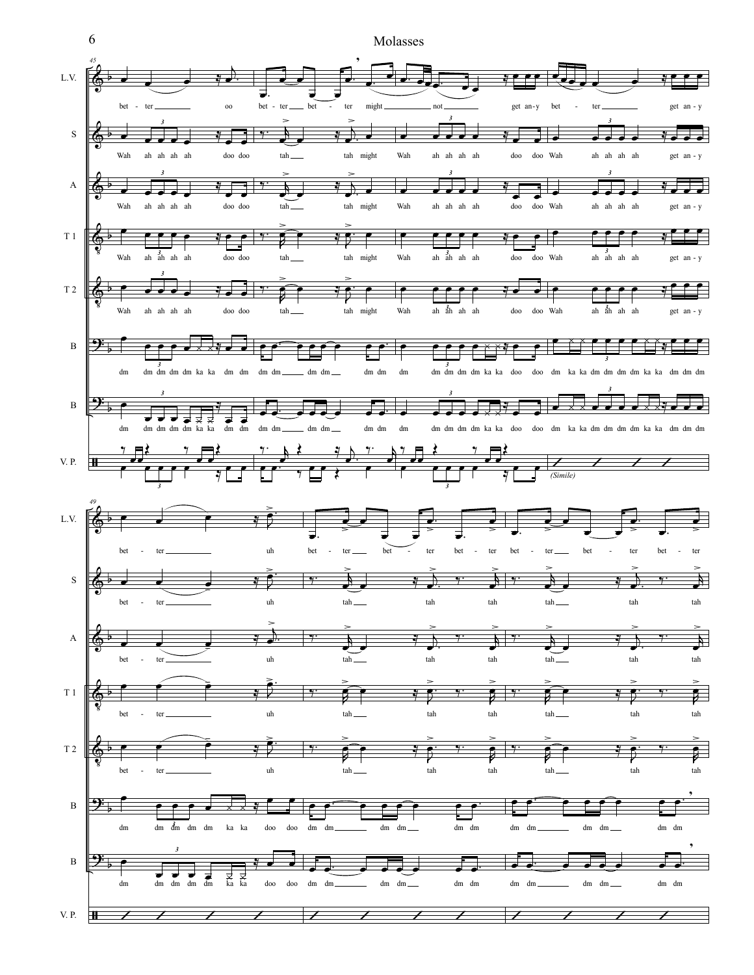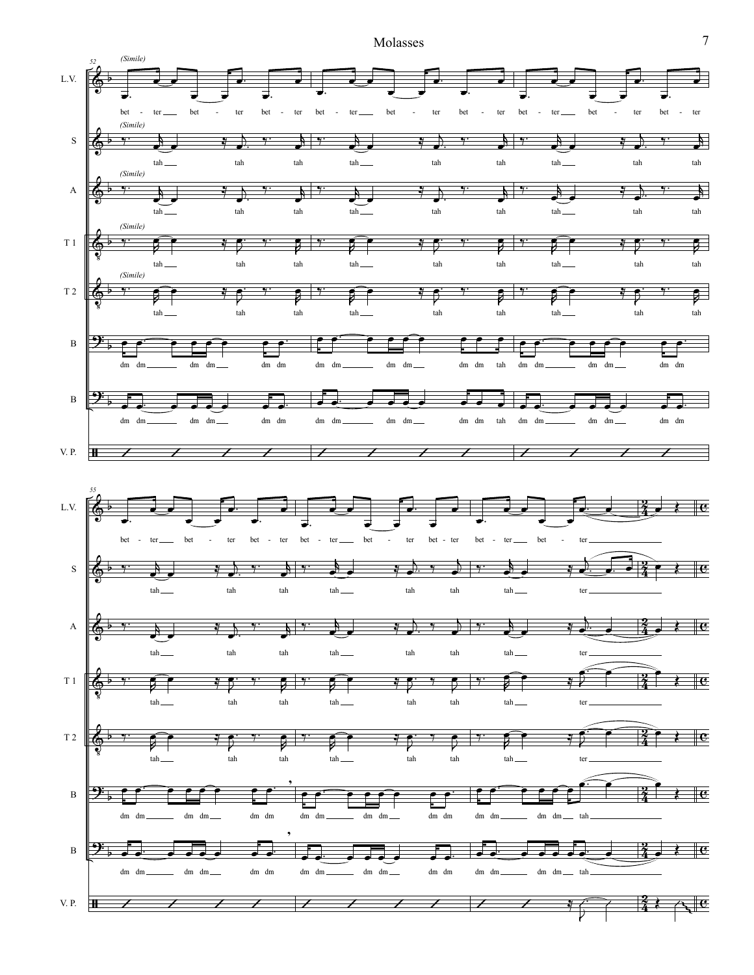Molasses 7